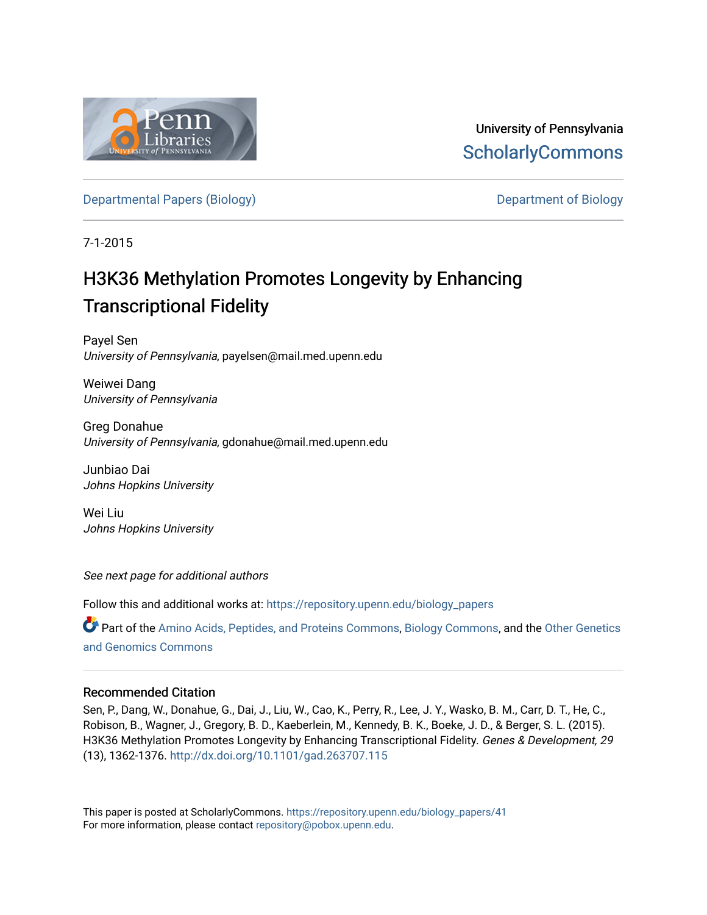

University of Pennsylvania **ScholarlyCommons** 

[Departmental Papers \(Biology\)](https://repository.upenn.edu/biology_papers) [Department of Biology](https://repository.upenn.edu/biology) 

7-1-2015

# H3K36 Methylation Promotes Longevity by Enhancing Transcriptional Fidelity

Payel Sen University of Pennsylvania, payelsen@mail.med.upenn.edu

Weiwei Dang University of Pennsylvania

Greg Donahue University of Pennsylvania, gdonahue@mail.med.upenn.edu

Junbiao Dai Johns Hopkins University

Wei Liu Johns Hopkins University

See next page for additional authors

Follow this and additional works at: [https://repository.upenn.edu/biology\\_papers](https://repository.upenn.edu/biology_papers?utm_source=repository.upenn.edu%2Fbiology_papers%2F41&utm_medium=PDF&utm_campaign=PDFCoverPages) 

Part of the [Amino Acids, Peptides, and Proteins Commons](http://network.bepress.com/hgg/discipline/954?utm_source=repository.upenn.edu%2Fbiology_papers%2F41&utm_medium=PDF&utm_campaign=PDFCoverPages), [Biology Commons,](http://network.bepress.com/hgg/discipline/41?utm_source=repository.upenn.edu%2Fbiology_papers%2F41&utm_medium=PDF&utm_campaign=PDFCoverPages) and the [Other Genetics](http://network.bepress.com/hgg/discipline/32?utm_source=repository.upenn.edu%2Fbiology_papers%2F41&utm_medium=PDF&utm_campaign=PDFCoverPages)  [and Genomics Commons](http://network.bepress.com/hgg/discipline/32?utm_source=repository.upenn.edu%2Fbiology_papers%2F41&utm_medium=PDF&utm_campaign=PDFCoverPages) 

### Recommended Citation

Sen, P., Dang, W., Donahue, G., Dai, J., Liu, W., Cao, K., Perry, R., Lee, J. Y., Wasko, B. M., Carr, D. T., He, C., Robison, B., Wagner, J., Gregory, B. D., Kaeberlein, M., Kennedy, B. K., Boeke, J. D., & Berger, S. L. (2015). H3K36 Methylation Promotes Longevity by Enhancing Transcriptional Fidelity. Genes & Development, 29 (13), 1362-1376.<http://dx.doi.org/10.1101/gad.263707.115>

This paper is posted at ScholarlyCommons. [https://repository.upenn.edu/biology\\_papers/41](https://repository.upenn.edu/biology_papers/41) For more information, please contact [repository@pobox.upenn.edu.](mailto:repository@pobox.upenn.edu)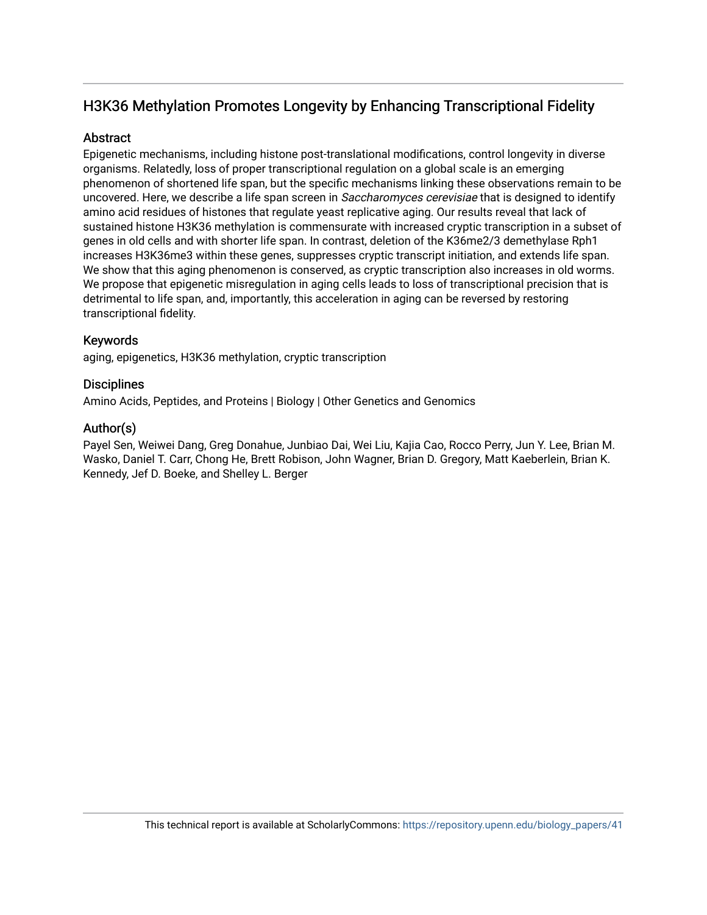## H3K36 Methylation Promotes Longevity by Enhancing Transcriptional Fidelity

## **Abstract**

Epigenetic mechanisms, including histone post-translational modifications, control longevity in diverse organisms. Relatedly, loss of proper transcriptional regulation on a global scale is an emerging phenomenon of shortened life span, but the specific mechanisms linking these observations remain to be uncovered. Here, we describe a life span screen in Saccharomyces cerevisiae that is designed to identify amino acid residues of histones that regulate yeast replicative aging. Our results reveal that lack of sustained histone H3K36 methylation is commensurate with increased cryptic transcription in a subset of genes in old cells and with shorter life span. In contrast, deletion of the K36me2/3 demethylase Rph1 increases H3K36me3 within these genes, suppresses cryptic transcript initiation, and extends life span. We show that this aging phenomenon is conserved, as cryptic transcription also increases in old worms. We propose that epigenetic misregulation in aging cells leads to loss of transcriptional precision that is detrimental to life span, and, importantly, this acceleration in aging can be reversed by restoring transcriptional fidelity.

## Keywords

aging, epigenetics, H3K36 methylation, cryptic transcription

## **Disciplines**

Amino Acids, Peptides, and Proteins | Biology | Other Genetics and Genomics

## Author(s)

Payel Sen, Weiwei Dang, Greg Donahue, Junbiao Dai, Wei Liu, Kajia Cao, Rocco Perry, Jun Y. Lee, Brian M. Wasko, Daniel T. Carr, Chong He, Brett Robison, John Wagner, Brian D. Gregory, Matt Kaeberlein, Brian K. Kennedy, Jef D. Boeke, and Shelley L. Berger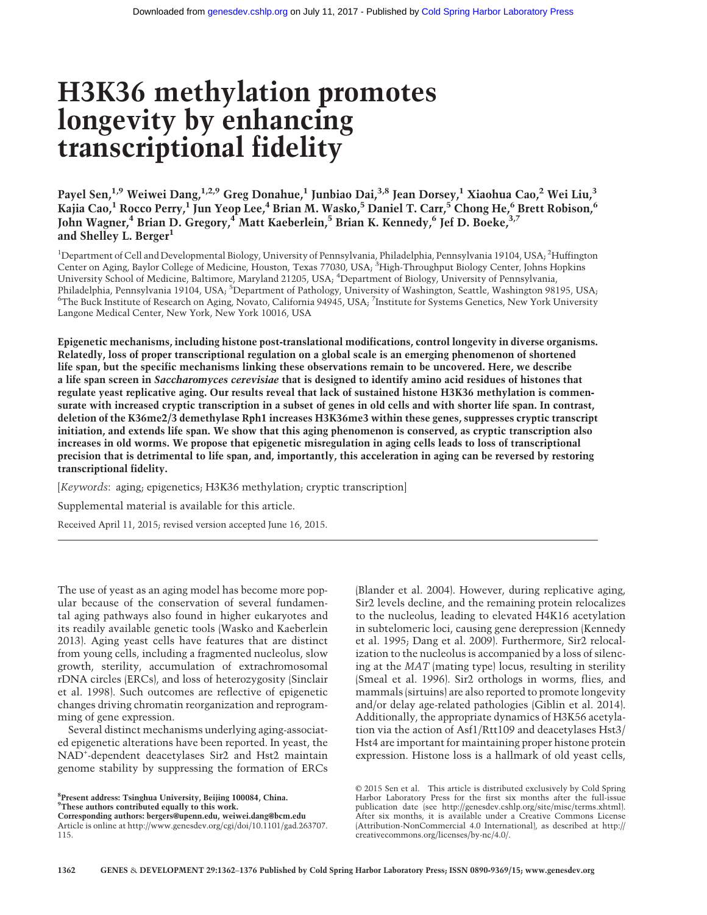# H3K36 methylation promotes longevity by enhancing transcriptional fidelity

Payel Sen,<sup>1,9</sup> Weiwei Dang,<sup>1,2,9</sup> Greg Donahue,<sup>1</sup> Junbiao Dai,<sup>3,8</sup> Jean Dorsey,<sup>1</sup> Xiaohua Cao,<sup>2</sup> Wei Liu,<sup>3</sup> Kajia Cao,<sup>1</sup> Rocco Perry,<sup>1</sup> Jun Yeop Lee,<sup>4</sup> Brian M. Wasko,<sup>5</sup> Daniel T. Carr,<sup>5</sup> Chong He,<sup>6</sup> Brett Robison,<sup>6</sup> John Wagner,<sup>4</sup> Brian D. Gregory,<sup>4</sup> Matt Kaeberlein,<sup>5</sup> Brian K. Kennedy,<sup>6</sup> Jef D. Boeke,<sup>3,7</sup> and Shelley L. Berger<sup>1</sup>

<sup>1</sup>Department of Cell and Developmental Biology, University of Pennsylvania, Philadelphia, Pennsylvania 19104, USA; <sup>2</sup>Huffington Center on Aging, Baylor College of Medicine, Houston, Texas 77030, USA; <sup>3</sup>High-Throughput Biology Center, Johns Hopkins University School of Medicine, Baltimore, Maryland 21205, USA; <sup>4</sup> Department of Biology, University of Pennsylvania, Philadelphia, Pennsylvania 19104, USA; <sup>5</sup>Department of Pathology, University of Washington, Seattle, Washington 98195, USA; 6 The Buck Institute of Research on Aging, Novato, California 94945, USA; <sup>7</sup> Institute for Systems Genetics, New York University Langone Medical Center, New York, New York 10016, USA

Epigenetic mechanisms, including histone post-translational modifications, control longevity in diverse organisms. Relatedly, loss of proper transcriptional regulation on a global scale is an emerging phenomenon of shortened life span, but the specific mechanisms linking these observations remain to be uncovered. Here, we describe a life span screen in Saccharomyces cerevisiae that is designed to identify amino acid residues of histones that regulate yeast replicative aging. Our results reveal that lack of sustained histone H3K36 methylation is commensurate with increased cryptic transcription in a subset of genes in old cells and with shorter life span. In contrast, deletion of the K36me2/3 demethylase Rph1 increases H3K36me3 within these genes, suppresses cryptic transcript initiation, and extends life span. We show that this aging phenomenon is conserved, as cryptic transcription also increases in old worms. We propose that epigenetic misregulation in aging cells leads to loss of transcriptional precision that is detrimental to life span, and, importantly, this acceleration in aging can be reversed by restoring transcriptional fidelity.

[Keywords: aging; epigenetics; H3K36 methylation; cryptic transcription] Supplemental material is available for this article. Received April 11, 2015; revised version accepted June 16, 2015.

The use of yeast as an aging model has become more popular because of the conservation of several fundamental aging pathways also found in higher eukaryotes and its readily available genetic tools (Wasko and Kaeberlein 2013). Aging yeast cells have features that are distinct from young cells, including a fragmented nucleolus, slow growth, sterility, accumulation of extrachromosomal rDNA circles (ERCs), and loss of heterozygosity (Sinclair et al. 1998). Such outcomes are reflective of epigenetic changes driving chromatin reorganization and reprogramming of gene expression.

Several distinct mechanisms underlying aging-associated epigenetic alterations have been reported. In yeast, the NAD+ -dependent deacetylases Sir2 and Hst2 maintain genome stability by suppressing the formation of ERCs

8 Present address: Tsinghua University, Beijing 100084, China. <sup>9</sup>These authors contributed equally to this work.

Corresponding authors: [bergers@upenn.edu,](mailto:bergers@upenn.edu) [weiwei.dang@bcm.edu](mailto:weiwei.dang@bcm.edu) Article is online at [http://www.genesdev.org/cgi/doi/10.1101/gad.263707.](http://www.genesdev.org/cgi/doi/10.1101/gad.263707.115) [115.](http://www.genesdev.org/cgi/doi/10.1101/gad.263707.115)

(Blander et al. 2004). However, during replicative aging, Sir2 levels decline, and the remaining protein relocalizes to the nucleolus, leading to elevated H4K16 acetylation in subtelomeric loci, causing gene derepression (Kennedy et al. 1995; Dang et al. 2009). Furthermore, Sir2 relocalization to the nucleolus is accompanied by a loss of silencing at the MAT (mating type) locus, resulting in sterility (Smeal et al. 1996). Sir2 orthologs in worms, flies, and mammals (sirtuins) are also reported to promote longevity and/or delay age-related pathologies (Giblin et al. 2014). Additionally, the appropriate dynamics of H3K56 acetylation via the action of Asf1/Rtt109 and deacetylases Hst3/ Hst4 are important for maintaining proper histone protein expression. Histone loss is a hallmark of old yeast cells,

[© 2015 Sen et al.](http://genesdev.cshlp.org/site/misc/terms.xhtml) This article is distributed exclusively by Cold Spring Harbor Laboratory Press for the first six months after the full-issue publication date (see<http://genesdev.cshlp.org/site/misc/terms.xhtml>). After six months, it is available under a Creative Commons License (Attribution-NonCommercial 4.0 International), as described at [http://](http://creativecommons.org/licenses/by-nc/4.0/) [creativecommons.org/licenses/by-nc/4.0/.](http://creativecommons.org/licenses/by-nc/4.0/)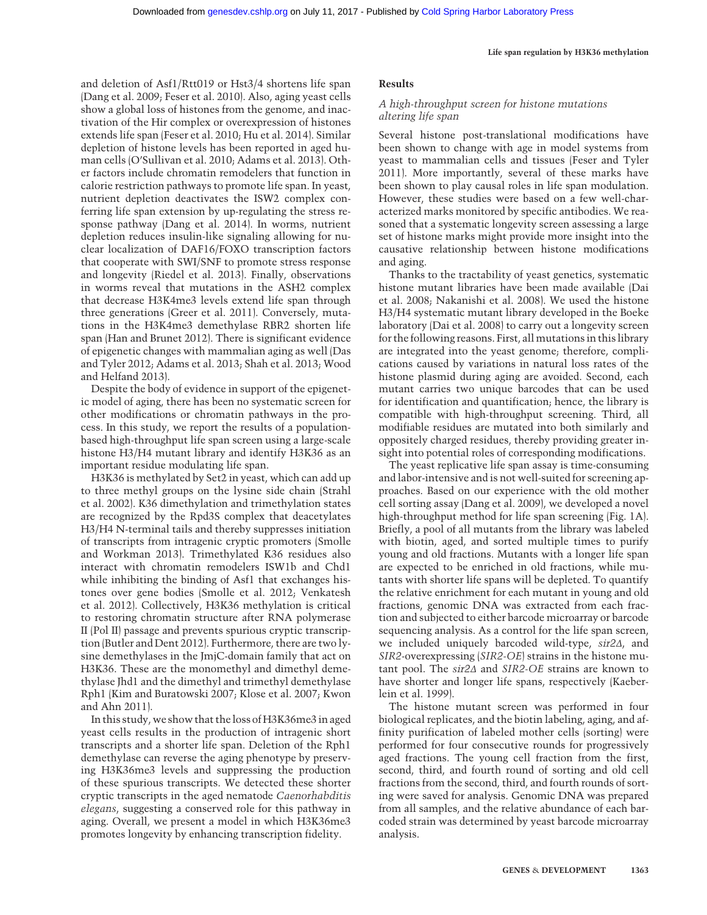and deletion of Asf1/Rtt019 or Hst3/4 shortens life span (Dang et al. 2009; Feser et al. 2010). Also, aging yeast cells show a global loss of histones from the genome, and inactivation of the Hir complex or overexpression of histones extends life span (Feser et al. 2010; Hu et al. 2014). Similar depletion of histone levels has been reported in aged human cells (O'Sullivan et al. 2010; Adams et al. 2013). Other factors include chromatin remodelers that function in calorie restriction pathways to promote life span. In yeast, nutrient depletion deactivates the ISW2 complex conferring life span extension by up-regulating the stress response pathway (Dang et al. 2014). In worms, nutrient depletion reduces insulin-like signaling allowing for nuclear localization of DAF16/FOXO transcription factors that cooperate with SWI/SNF to promote stress response and longevity (Riedel et al. 2013). Finally, observations in worms reveal that mutations in the ASH2 complex that decrease H3K4me3 levels extend life span through three generations (Greer et al. 2011). Conversely, mutations in the H3K4me3 demethylase RBR2 shorten life span (Han and Brunet 2012). There is significant evidence of epigenetic changes with mammalian aging as well (Das and Tyler 2012; Adams et al. 2013; Shah et al. 2013; Wood and Helfand 2013).

Despite the body of evidence in support of the epigenetic model of aging, there has been no systematic screen for other modifications or chromatin pathways in the process. In this study, we report the results of a populationbased high-throughput life span screen using a large-scale histone H3/H4 mutant library and identify H3K36 as an important residue modulating life span.

H3K36 is methylated by Set2 in yeast, which can add up to three methyl groups on the lysine side chain (Strahl et al. 2002). K36 dimethylation and trimethylation states are recognized by the Rpd3S complex that deacetylates H3/H4 N-terminal tails and thereby suppresses initiation of transcripts from intragenic cryptic promoters (Smolle and Workman 2013). Trimethylated K36 residues also interact with chromatin remodelers ISW1b and Chd1 while inhibiting the binding of Asf1 that exchanges histones over gene bodies (Smolle et al. 2012; Venkatesh et al. 2012). Collectively, H3K36 methylation is critical to restoring chromatin structure after RNA polymerase II (Pol II) passage and prevents spurious cryptic transcription (Butler and Dent 2012). Furthermore, there are two lysine demethylases in the JmjC-domain family that act on H3K36. These are the monomethyl and dimethyl demethylase Jhd1 and the dimethyl and trimethyl demethylase Rph1 (Kim and Buratowski 2007; Klose et al. 2007; Kwon and Ahn 2011).

In this study, we show that the loss of H3K36me3 in aged yeast cells results in the production of intragenic short transcripts and a shorter life span. Deletion of the Rph1 demethylase can reverse the aging phenotype by preserving H3K36me3 levels and suppressing the production of these spurious transcripts. We detected these shorter cryptic transcripts in the aged nematode Caenorhabditis elegans, suggesting a conserved role for this pathway in aging. Overall, we present a model in which H3K36me3 promotes longevity by enhancing transcription fidelity.

#### Life span regulation by H3K36 methylation

#### Results

#### A high-throughput screen for histone mutations altering life span

Several histone post-translational modifications have been shown to change with age in model systems from yeast to mammalian cells and tissues (Feser and Tyler 2011). More importantly, several of these marks have been shown to play causal roles in life span modulation. However, these studies were based on a few well-characterized marks monitored by specific antibodies. We reasoned that a systematic longevity screen assessing a large set of histone marks might provide more insight into the causative relationship between histone modifications and aging.

Thanks to the tractability of yeast genetics, systematic histone mutant libraries have been made available (Dai et al. 2008; Nakanishi et al. 2008). We used the histone H3/H4 systematic mutant library developed in the Boeke laboratory (Dai et al. 2008) to carry out a longevity screen for the following reasons. First, all mutations in this library are integrated into the yeast genome; therefore, complications caused by variations in natural loss rates of the histone plasmid during aging are avoided. Second, each mutant carries two unique barcodes that can be used for identification and quantification; hence, the library is compatible with high-throughput screening. Third, all modifiable residues are mutated into both similarly and oppositely charged residues, thereby providing greater insight into potential roles of corresponding modifications.

The yeast replicative life span assay is time-consuming and labor-intensive and is not well-suited for screening approaches. Based on our experience with the old mother cell sorting assay (Dang et al. 2009), we developed a novel high-throughput method for life span screening (Fig. 1A). Briefly, a pool of all mutants from the library was labeled with biotin, aged, and sorted multiple times to purify young and old fractions. Mutants with a longer life span are expected to be enriched in old fractions, while mutants with shorter life spans will be depleted. To quantify the relative enrichment for each mutant in young and old fractions, genomic DNA was extracted from each fraction and subjected to either barcode microarray or barcode sequencing analysis. As a control for the life span screen, we included uniquely barcoded wild-type, sir2Δ, and SIR2-overexpressing (SIR2-OE) strains in the histone mutant pool. The sir2Δ and SIR2-OE strains are known to have shorter and longer life spans, respectively (Kaeberlein et al. 1999).

The histone mutant screen was performed in four biological replicates, and the biotin labeling, aging, and affinity purification of labeled mother cells (sorting) were performed for four consecutive rounds for progressively aged fractions. The young cell fraction from the first, second, third, and fourth round of sorting and old cell fractions from the second, third, and fourth rounds of sorting were saved for analysis. Genomic DNA was prepared from all samples, and the relative abundance of each barcoded strain was determined by yeast barcode microarray analysis.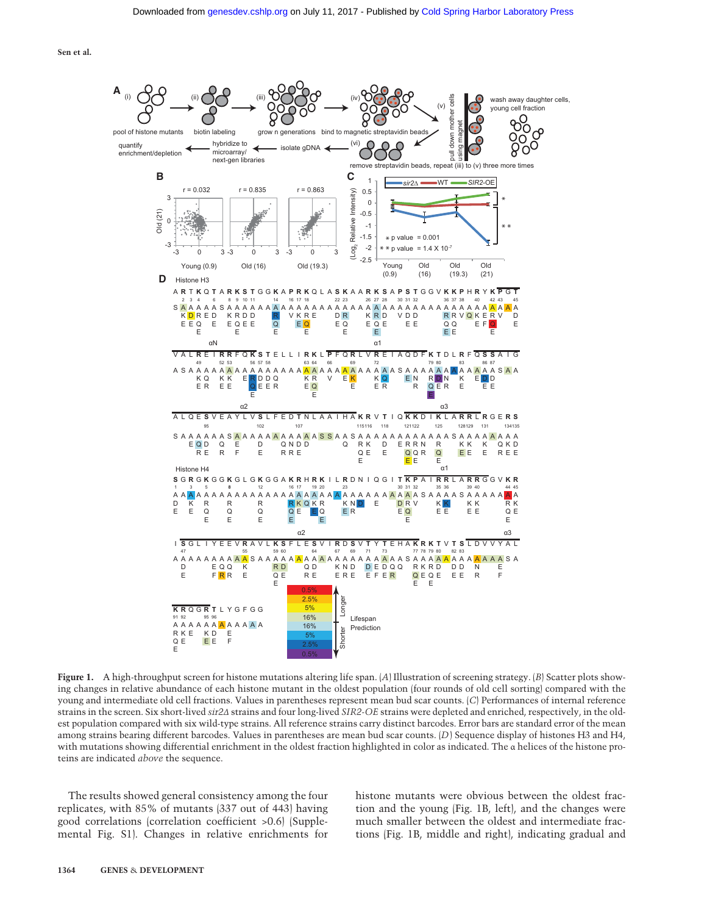

**Figure 1.** A high-throughput screen for histone mutations altering life span.  $[A]$  Illustration of screening strategy.  $[B]$  Scatter plots showing changes in relative abundance of each histone mutant in the oldest population (four rounds of old cell sorting) compared with the young and intermediate old cell fractions. Values in parentheses represent mean bud scar counts. (C) Performances of internal reference strains in the screen. Six short-lived sir2Δ strains and four long-lived SIR2-OE strains were depleted and enriched, respectively, in the oldest population compared with six wild-type strains. All reference strains carry distinct barcodes. Error bars are standard error of the mean among strains bearing different barcodes. Values in parentheses are mean bud scar counts. (D) Sequence display of histones H3 and H4, with mutations showing differential enrichment in the oldest fraction highlighted in color as indicated. The α helices of the histone proteins are indicated above the sequence.

The results showed general consistency among the four replicates, with 85% of mutants (337 out of 443) having good correlations (correlation coefficient >0.6) (Supplemental Fig. S1). Changes in relative enrichments for histone mutants were obvious between the oldest fraction and the young (Fig. 1B, left), and the changes were much smaller between the oldest and intermediate fractions (Fig. 1B, middle and right), indicating gradual and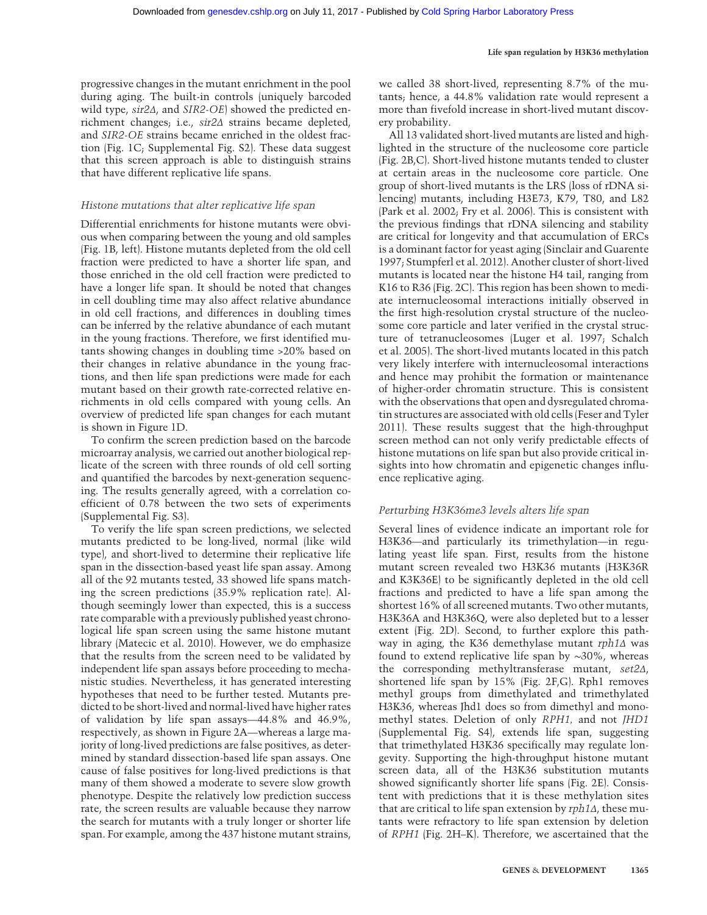progressive changes in the mutant enrichment in the pool during aging. The built-in controls (uniquely barcoded wild type, sir2Δ, and SIR2-OE) showed the predicted enrichment changes; i.e., sir2Δ strains became depleted, and SIR2-OE strains became enriched in the oldest fraction (Fig. 1C; Supplemental Fig. S2). These data suggest that this screen approach is able to distinguish strains that have different replicative life spans.

#### Histone mutations that alter replicative life span

Differential enrichments for histone mutants were obvious when comparing between the young and old samples (Fig. 1B, left). Histone mutants depleted from the old cell fraction were predicted to have a shorter life span, and those enriched in the old cell fraction were predicted to have a longer life span. It should be noted that changes in cell doubling time may also affect relative abundance in old cell fractions, and differences in doubling times can be inferred by the relative abundance of each mutant in the young fractions. Therefore, we first identified mutants showing changes in doubling time >20% based on their changes in relative abundance in the young fractions, and then life span predictions were made for each mutant based on their growth rate-corrected relative enrichments in old cells compared with young cells. An overview of predicted life span changes for each mutant is shown in Figure 1D.

To confirm the screen prediction based on the barcode microarray analysis, we carried out another biological replicate of the screen with three rounds of old cell sorting and quantified the barcodes by next-generation sequencing. The results generally agreed, with a correlation coefficient of 0.78 between the two sets of experiments (Supplemental Fig. S3).

To verify the life span screen predictions, we selected mutants predicted to be long-lived, normal (like wild type), and short-lived to determine their replicative life span in the dissection-based yeast life span assay. Among all of the 92 mutants tested, 33 showed life spans matching the screen predictions (35.9% replication rate). Although seemingly lower than expected, this is a success rate comparable with a previously published yeast chronological life span screen using the same histone mutant library (Matecic et al. 2010). However, we do emphasize that the results from the screen need to be validated by independent life span assays before proceeding to mechanistic studies. Nevertheless, it has generated interesting hypotheses that need to be further tested. Mutants predicted to be short-lived and normal-lived have higher rates of validation by life span assays—44.8% and 46.9%, respectively, as shown in Figure 2A—whereas a large majority of long-lived predictions are false positives, as determined by standard dissection-based life span assays. One cause of false positives for long-lived predictions is that many of them showed a moderate to severe slow growth phenotype. Despite the relatively low prediction success rate, the screen results are valuable because they narrow the search for mutants with a truly longer or shorter life span. For example, among the 437 histone mutant strains,

we called 38 short-lived, representing 8.7% of the mutants; hence, a 44.8% validation rate would represent a more than fivefold increase in short-lived mutant discovery probability.

All 13 validated short-lived mutants are listed and highlighted in the structure of the nucleosome core particle (Fig. 2B,C). Short-lived histone mutants tended to cluster at certain areas in the nucleosome core particle. One group of short-lived mutants is the LRS (loss of rDNA silencing) mutants, including H3E73, K79, T80, and L82 (Park et al. 2002; Fry et al. 2006). This is consistent with the previous findings that rDNA silencing and stability are critical for longevity and that accumulation of ERCs is a dominant factor for yeast aging (Sinclair and Guarente 1997; Stumpferl et al. 2012). Another cluster of short-lived mutants is located near the histone H4 tail, ranging from K16 to R36 (Fig. 2C). This region has been shown to mediate internucleosomal interactions initially observed in the first high-resolution crystal structure of the nucleosome core particle and later verified in the crystal structure of tetranucleosomes (Luger et al. 1997; Schalch et al. 2005). The short-lived mutants located in this patch very likely interfere with internucleosomal interactions and hence may prohibit the formation or maintenance of higher-order chromatin structure. This is consistent with the observations that open and dysregulated chromatin structures are associated with old cells (Feser and Tyler 2011). These results suggest that the high-throughput screen method can not only verify predictable effects of histone mutations on life span but also provide critical insights into how chromatin and epigenetic changes influence replicative aging.

#### Perturbing H3K36me3 levels alters life span

Several lines of evidence indicate an important role for H3K36—and particularly its trimethylation—in regulating yeast life span. First, results from the histone mutant screen revealed two H3K36 mutants (H3K36R and K3K36E) to be significantly depleted in the old cell fractions and predicted to have a life span among the shortest 16% of all screened mutants. Two other mutants, H3K36A and H3K36Q, were also depleted but to a lesser extent (Fig. 2D). Second, to further explore this pathway in aging, the K36 demethylase mutant rph1∆ was found to extend replicative life span by ∼30%, whereas the corresponding methyltransferase mutant, set2Δ, shortened life span by 15% (Fig. 2F,G). Rph1 removes methyl groups from dimethylated and trimethylated H3K36, whereas Jhd1 does so from dimethyl and monomethyl states. Deletion of only RPH1, and not JHD1 (Supplemental Fig. S4), extends life span, suggesting that trimethylated H3K36 specifically may regulate longevity. Supporting the high-throughput histone mutant screen data, all of the H3K36 substitution mutants showed significantly shorter life spans (Fig. 2E). Consistent with predictions that it is these methylation sites that are critical to life span extension by rph1Δ, these mutants were refractory to life span extension by deletion of RPH1 (Fig. 2H–K). Therefore, we ascertained that the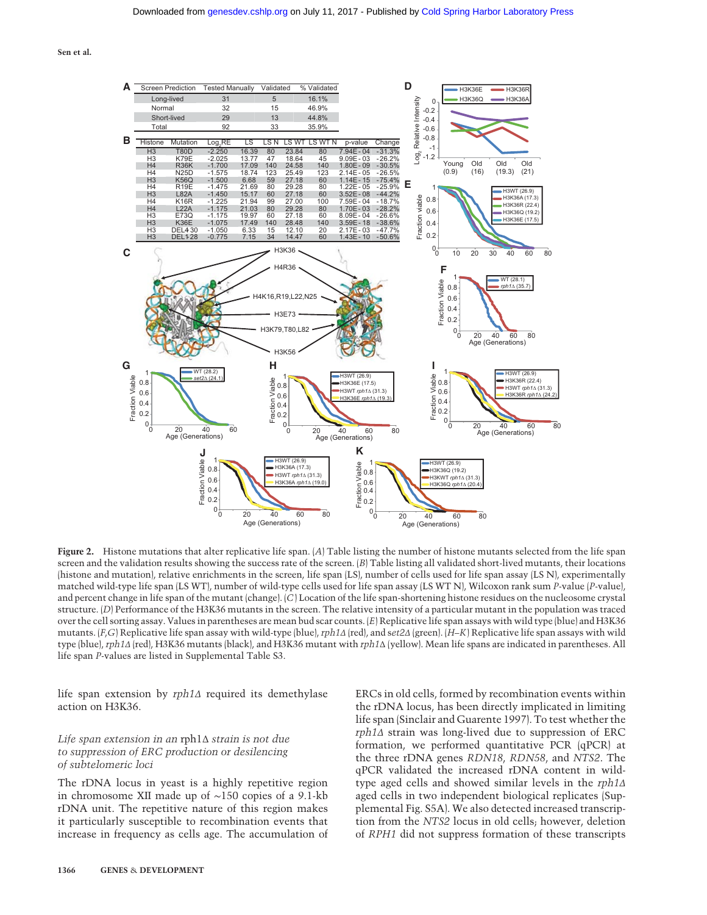

Figure 2. Histone mutations that alter replicative life span. (A) Table listing the number of histone mutants selected from the life span screen and the validation results showing the success rate of the screen.  $(B)$  Table listing all validated short-lived mutants, their locations (histone and mutation), relative enrichments in the screen, life span (LS), number of cells used for life span assay (LS N), experimentally matched wild-type life span (LS WT), number of wild-type cells used for life span assay (LS WT N), Wilcoxon rank sum P-value (P-value), and percent change in life span of the mutant (change). (C) Location of the life span-shortening histone residues on the nucleosome crystal structure. (D) Performance of the H3K36 mutants in the screen. The relative intensity of a particular mutant in the population was traced over the cell sorting assay. Values in parentheses are mean bud scar counts. (E) Replicative life span assays with wild type (blue) and H3K36 mutants. (F,G) Replicative life span assay with wild-type (blue), rph1Δ (red), and set2Δ (green). (H–K) Replicative life span assays with wild type (blue), rph1Δ (red), H3K36 mutants (black), and H3K36 mutant with rph1Δ (yellow). Mean life spans are indicated in parentheses. All life span P-values are listed in Supplemental Table S3.

life span extension by rph1Δ required its demethylase action on H3K36.

#### Life span extension in an rph1Δ strain is not due to suppression of ERC production or desilencing of subtelomeric loci

The rDNA locus in yeast is a highly repetitive region in chromosome XII made up of ∼150 copies of a 9.1-kb rDNA unit. The repetitive nature of this region makes it particularly susceptible to recombination events that increase in frequency as cells age. The accumulation of ERCs in old cells, formed by recombination events within the rDNA locus, has been directly implicated in limiting life span (Sinclair and Guarente 1997). To test whether the rph1Δ strain was long-lived due to suppression of ERC formation, we performed quantitative PCR (qPCR) at the three rDNA genes RDN18, RDN58, and NTS2. The qPCR validated the increased rDNA content in wildtype aged cells and showed similar levels in the rph1Δ aged cells in two independent biological replicates (Supplemental Fig. S5A). We also detected increased transcription from the NTS2 locus in old cells; however, deletion of RPH1 did not suppress formation of these transcripts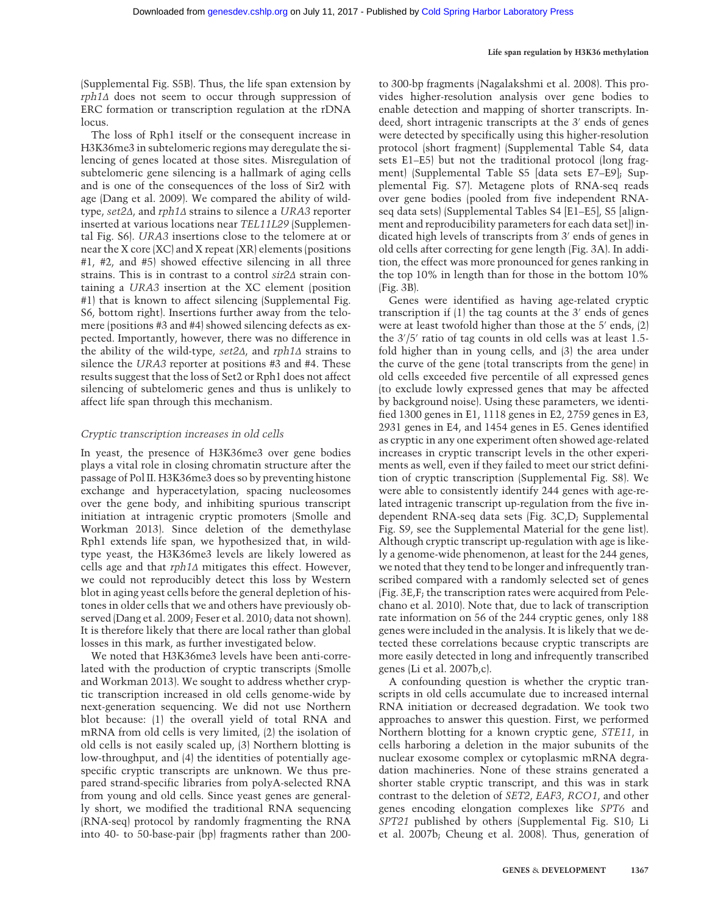(Supplemental Fig. S5B). Thus, the life span extension by rph1Δ does not seem to occur through suppression of ERC formation or transcription regulation at the rDNA locus.

The loss of Rph1 itself or the consequent increase in H3K36me3 in subtelomeric regions may deregulate the silencing of genes located at those sites. Misregulation of subtelomeric gene silencing is a hallmark of aging cells and is one of the consequences of the loss of Sir2 with age (Dang et al. 2009). We compared the ability of wildtype, set2Δ, and rph1Δ strains to silence a URA3 reporter inserted at various locations near TEL11L29 (Supplemental Fig. S6). URA3 insertions close to the telomere at or near the X core (XC) and X repeat (XR) elements (positions #1, #2, and #5) showed effective silencing in all three strains. This is in contrast to a control sir2Δ strain containing a URA3 insertion at the XC element (position #1) that is known to affect silencing (Supplemental Fig. S6, bottom right). Insertions further away from the telomere (positions #3 and #4) showed silencing defects as expected. Importantly, however, there was no difference in the ability of the wild-type, set2Δ, and rph1Δ strains to silence the URA3 reporter at positions #3 and #4. These results suggest that the loss of Set2 or Rph1 does not affect silencing of subtelomeric genes and thus is unlikely to affect life span through this mechanism.

#### Cryptic transcription increases in old cells

In yeast, the presence of H3K36me3 over gene bodies plays a vital role in closing chromatin structure after the passage of Pol II. H3K36me3 does so by preventing histone exchange and hyperacetylation, spacing nucleosomes over the gene body, and inhibiting spurious transcript initiation at intragenic cryptic promoters (Smolle and Workman 2013). Since deletion of the demethylase Rph1 extends life span, we hypothesized that, in wildtype yeast, the H3K36me3 levels are likely lowered as cells age and that rph1Δ mitigates this effect. However, we could not reproducibly detect this loss by Western blot in aging yeast cells before the general depletion of histones in older cells that we and others have previously observed (Dang et al. 2009; Feser et al. 2010; data not shown). It is therefore likely that there are local rather than global losses in this mark, as further investigated below.

We noted that H3K36me3 levels have been anti-correlated with the production of cryptic transcripts (Smolle and Workman 2013). We sought to address whether cryptic transcription increased in old cells genome-wide by next-generation sequencing. We did not use Northern blot because: (1) the overall yield of total RNA and mRNA from old cells is very limited, (2) the isolation of old cells is not easily scaled up, (3) Northern blotting is low-throughput, and (4) the identities of potentially agespecific cryptic transcripts are unknown. We thus prepared strand-specific libraries from polyA-selected RNA from young and old cells. Since yeast genes are generally short, we modified the traditional RNA sequencing (RNA-seq) protocol by randomly fragmenting the RNA into 40- to 50-base-pair (bp) fragments rather than 200-

to 300-bp fragments (Nagalakshmi et al. 2008). This provides higher-resolution analysis over gene bodies to enable detection and mapping of shorter transcripts. Indeed, short intragenic transcripts at the 3′ ends of genes were detected by specifically using this higher-resolution protocol (short fragment) (Supplemental Table S4, data sets E1–E5) but not the traditional protocol (long fragment) (Supplemental Table S5 [data sets E7–E9]; Supplemental Fig. S7). Metagene plots of RNA-seq reads over gene bodies (pooled from five independent RNAseq data sets) (Supplemental Tables S4 [E1–E5], S5 [alignment and reproducibility parameters for each data set]) indicated high levels of transcripts from 3′ ends of genes in old cells after correcting for gene length (Fig. 3A). In addition, the effect was more pronounced for genes ranking in the top 10% in length than for those in the bottom 10% (Fig. 3B).

Genes were identified as having age-related cryptic transcription if (1) the tag counts at the 3′ ends of genes were at least twofold higher than those at the 5′ ends, (2) the 3′ /5′ ratio of tag counts in old cells was at least 1.5 fold higher than in young cells, and (3) the area under the curve of the gene (total transcripts from the gene) in old cells exceeded five percentile of all expressed genes (to exclude lowly expressed genes that may be affected by background noise). Using these parameters, we identified 1300 genes in E1, 1118 genes in E2, 2759 genes in E3, 2931 genes in E4, and 1454 genes in E5. Genes identified as cryptic in any one experiment often showed age-related increases in cryptic transcript levels in the other experiments as well, even if they failed to meet our strict definition of cryptic transcription (Supplemental Fig. S8). We were able to consistently identify 244 genes with age-related intragenic transcript up-regulation from the five independent RNA-seq data sets (Fig. 3C,D; Supplemental Fig. S9, see the Supplemental Material for the gene list). Although cryptic transcript up-regulation with age is likely a genome-wide phenomenon, at least for the 244 genes, we noted that they tend to be longer and infrequently transcribed compared with a randomly selected set of genes (Fig. 3E,F; the transcription rates were acquired from Pelechano et al. 2010). Note that, due to lack of transcription rate information on 56 of the 244 cryptic genes, only 188 genes were included in the analysis. It is likely that we detected these correlations because cryptic transcripts are more easily detected in long and infrequently transcribed genes (Li et al. 2007b,c).

A confounding question is whether the cryptic transcripts in old cells accumulate due to increased internal RNA initiation or decreased degradation. We took two approaches to answer this question. First, we performed Northern blotting for a known cryptic gene, STE11, in cells harboring a deletion in the major subunits of the nuclear exosome complex or cytoplasmic mRNA degradation machineries. None of these strains generated a shorter stable cryptic transcript, and this was in stark contrast to the deletion of SET2, EAF3, RCO1, and other genes encoding elongation complexes like SPT6 and SPT21 published by others (Supplemental Fig. S10; Li et al. 2007b; Cheung et al. 2008). Thus, generation of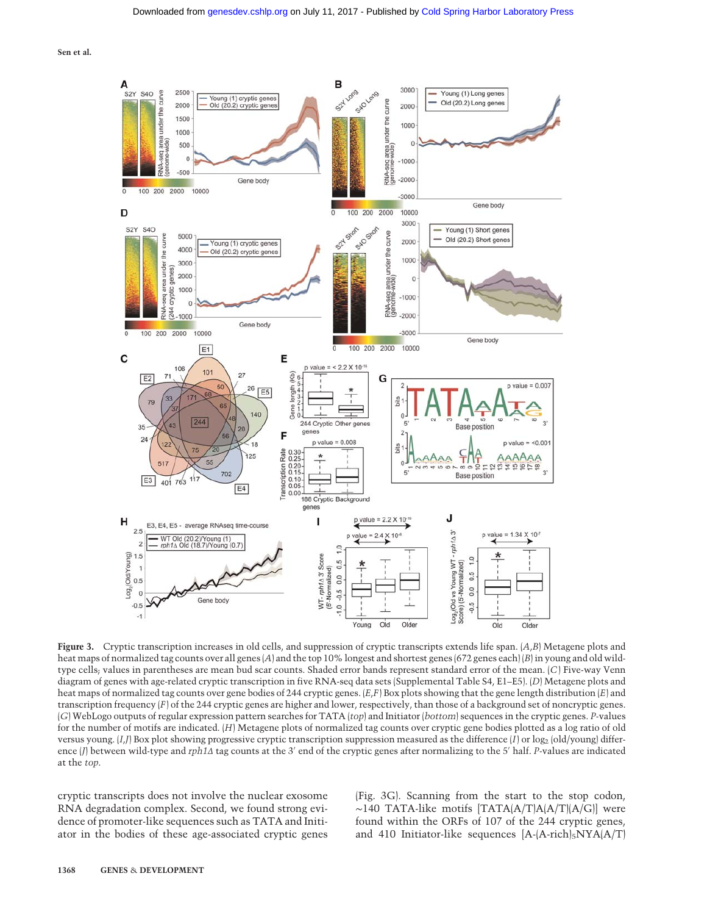

Figure 3. Cryptic transcription increases in old cells, and suppression of cryptic transcripts extends life span. (A,B) Metagene plots and heat maps of normalized tag counts over all genes (A) and the top 10% longest and shortest genes (672 genes each) (B) in young and old wildtype cells; values in parentheses are mean bud scar counts. Shaded error bands represent standard error of the mean. (C) Five-way Venn diagram of genes with age-related cryptic transcription in five RNA-seq data sets (Supplemental Table S4, E1–E5). (D) Metagene plots and heat maps of normalized tag counts over gene bodies of 244 cryptic genes. (E,F) Box plots showing that the gene length distribution (E) and transcription frequency (F) of the 244 cryptic genes are higher and lower, respectively, than those of a background set of noncryptic genes. (G) WebLogo outputs of regular expression pattern searches for TATA (top) and Initiator (bottom) sequences in the cryptic genes. P-values for the number of motifs are indicated. (H) Metagene plots of normalized tag counts over cryptic gene bodies plotted as a log ratio of old versus young.  $[I, J]$  Box plot showing progressive cryptic transcription suppression measured as the difference  $[I]$  or  $\log_2$  (old/young) difference (J) between wild-type and rph1Δ tag counts at the 3′ end of the cryptic genes after normalizing to the 5′ half. P-values are indicated at the top.

cryptic transcripts does not involve the nuclear exosome RNA degradation complex. Second, we found strong evidence of promoter-like sequences such as TATA and Initiator in the bodies of these age-associated cryptic genes (Fig. 3G). Scanning from the start to the stop codon, ∼140 TATA-like motifs [TATA(A/T)A(A/T)(A/G)] were found within the ORFs of 107 of the 244 cryptic genes, and 410 Initiator-like sequences  $[A-(A-\text{rich})_5NYA(A/T)]$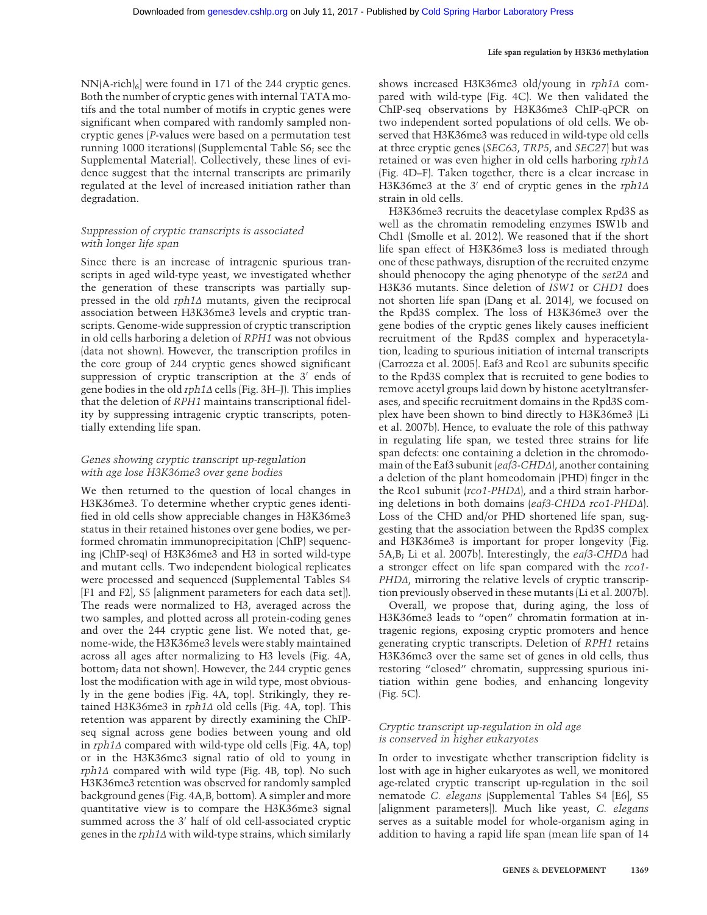$NN(A\text{-rich})_6$  were found in 171 of the 244 cryptic genes. Both the number of cryptic genes with internal TATA motifs and the total number of motifs in cryptic genes were significant when compared with randomly sampled noncryptic genes (P-values were based on a permutation test running 1000 iterations) (Supplemental Table S6; see the Supplemental Material). Collectively, these lines of evidence suggest that the internal transcripts are primarily regulated at the level of increased initiation rather than degradation.

#### Suppression of cryptic transcripts is associated with longer life span

Since there is an increase of intragenic spurious transcripts in aged wild-type yeast, we investigated whether the generation of these transcripts was partially suppressed in the old rph1Δ mutants, given the reciprocal association between H3K36me3 levels and cryptic transcripts. Genome-wide suppression of cryptic transcription in old cells harboring a deletion of RPH1 was not obvious (data not shown). However, the transcription profiles in the core group of 244 cryptic genes showed significant suppression of cryptic transcription at the 3′ ends of gene bodies in the old rph1Δ cells (Fig. 3H–J). This implies that the deletion of RPH1 maintains transcriptional fidelity by suppressing intragenic cryptic transcripts, potentially extending life span.

#### Genes showing cryptic transcript up-regulation with age lose H3K36me3 over gene bodies

We then returned to the question of local changes in H3K36me3. To determine whether cryptic genes identified in old cells show appreciable changes in H3K36me3 status in their retained histones over gene bodies, we performed chromatin immunoprecipitation (ChIP) sequencing (ChIP-seq) of H3K36me3 and H3 in sorted wild-type and mutant cells. Two independent biological replicates were processed and sequenced (Supplemental Tables S4 [F1 and F2], S5 [alignment parameters for each data set]). The reads were normalized to H3, averaged across the two samples, and plotted across all protein-coding genes and over the 244 cryptic gene list. We noted that, genome-wide, the H3K36me3 levels were stably maintained across all ages after normalizing to H3 levels (Fig. 4A, bottom; data not shown). However, the 244 cryptic genes lost the modification with age in wild type, most obviously in the gene bodies (Fig. 4A, top). Strikingly, they retained H3K36me3 in rph1Δ old cells (Fig. 4A, top). This retention was apparent by directly examining the ChIPseq signal across gene bodies between young and old in rph1Δ compared with wild-type old cells (Fig. 4A, top) or in the H3K36me3 signal ratio of old to young in rph1Δ compared with wild type (Fig. 4B, top). No such H3K36me3 retention was observed for randomly sampled background genes (Fig. 4A,B, bottom). A simpler and more quantitative view is to compare the H3K36me3 signal summed across the 3′ half of old cell-associated cryptic genes in the rph1Δ with wild-type strains, which similarly shows increased H3K36me3 old/young in rph1Δ compared with wild-type (Fig. 4C). We then validated the ChIP-seq observations by H3K36me3 ChIP-qPCR on two independent sorted populations of old cells. We observed that H3K36me3 was reduced in wild-type old cells at three cryptic genes (SEC63, TRP5, and SEC27) but was retained or was even higher in old cells harboring rph1Δ (Fig. 4D–F). Taken together, there is a clear increase in H3K36me3 at the 3′ end of cryptic genes in the rph1Δ strain in old cells.

H3K36me3 recruits the deacetylase complex Rpd3S as well as the chromatin remodeling enzymes ISW1b and Chd1 (Smolle et al. 2012). We reasoned that if the short life span effect of H3K36me3 loss is mediated through one of these pathways, disruption of the recruited enzyme should phenocopy the aging phenotype of the set2Δ and H3K36 mutants. Since deletion of ISW1 or CHD1 does not shorten life span (Dang et al. 2014), we focused on the Rpd3S complex. The loss of H3K36me3 over the gene bodies of the cryptic genes likely causes inefficient recruitment of the Rpd3S complex and hyperacetylation, leading to spurious initiation of internal transcripts (Carrozza et al. 2005). Eaf3 and Rco1 are subunits specific to the Rpd3S complex that is recruited to gene bodies to remove acetyl groups laid down by histone acetyltransferases, and specific recruitment domains in the Rpd3S complex have been shown to bind directly to H3K36me3 (Li et al. 2007b). Hence, to evaluate the role of this pathway in regulating life span, we tested three strains for life span defects: one containing a deletion in the chromodomain of the Eaf3 subunit (eaf3-CHDΔ), another containing a deletion of the plant homeodomain (PHD) finger in the the Rco1 subunit (rco1-PHDΔ), and a third strain harboring deletions in both domains (eaf3-CHDΔ rco1-PHDΔ). Loss of the CHD and/or PHD shortened life span, suggesting that the association between the Rpd3S complex and H3K36me3 is important for proper longevity (Fig. 5A,B; Li et al. 2007b). Interestingly, the eaf3-CHDΔ had a stronger effect on life span compared with the rco1- PHDΔ, mirroring the relative levels of cryptic transcription previously observed in these mutants (Li et al. 2007b).

Overall, we propose that, during aging, the loss of H3K36me3 leads to "open" chromatin formation at intragenic regions, exposing cryptic promoters and hence generating cryptic transcripts. Deletion of RPH1 retains H3K36me3 over the same set of genes in old cells, thus restoring "closed" chromatin, suppressing spurious initiation within gene bodies, and enhancing longevity (Fig. 5C).

#### Cryptic transcript up-regulation in old age is conserved in higher eukaryotes

In order to investigate whether transcription fidelity is lost with age in higher eukaryotes as well, we monitored age-related cryptic transcript up-regulation in the soil nematode C. elegans (Supplemental Tables S4 [E6], S5 [alignment parameters]]. Much like yeast, C. elegans serves as a suitable model for whole-organism aging in addition to having a rapid life span (mean life span of 14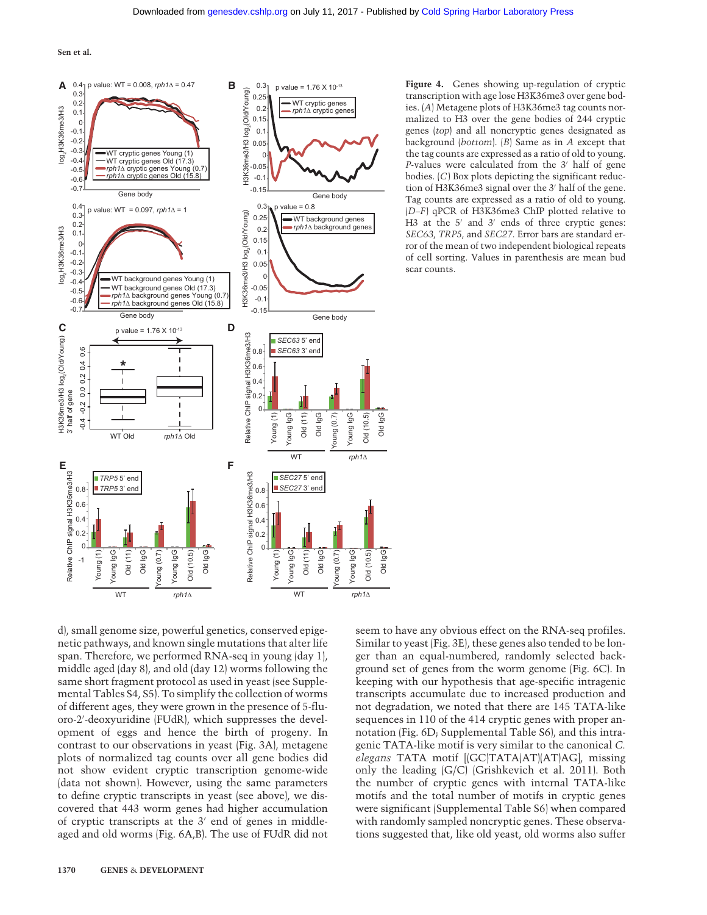

Figure 4. Genes showing up-regulation of cryptic transcription with age lose H3K36me3 over gene bodies. (A) Metagene plots of H3K36me3 tag counts normalized to H3 over the gene bodies of 244 cryptic genes (top) and all noncryptic genes designated as background (bottom). (B) Same as in A except that the tag counts are expressed as a ratio of old to young. P-values were calculated from the 3′ half of gene bodies. (C) Box plots depicting the significant reduction of H3K36me3 signal over the 3′ half of the gene. Tag counts are expressed as a ratio of old to young. (D–F) qPCR of H3K36me3 ChIP plotted relative to H<sub>3</sub> at the 5<sup>'</sup> and 3<sup>'</sup> ends of three cryptic genes: SEC63, TRP5, and SEC27. Error bars are standard error of the mean of two independent biological repeats of cell sorting. Values in parenthesis are mean bud scar counts.

d), small genome size, powerful genetics, conserved epigenetic pathways, and known single mutations that alter life span. Therefore, we performed RNA-seq in young (day 1), middle aged (day 8), and old (day 12) worms following the same short fragment protocol as used in yeast (see Supplemental Tables S4, S5). To simplify the collection of worms of different ages, they were grown in the presence of 5-fluoro-2′ -deoxyuridine (FUdR), which suppresses the development of eggs and hence the birth of progeny. In contrast to our observations in yeast (Fig. 3A), metagene plots of normalized tag counts over all gene bodies did not show evident cryptic transcription genome-wide (data not shown). However, using the same parameters to define cryptic transcripts in yeast (see above), we discovered that 443 worm genes had higher accumulation of cryptic transcripts at the 3′ end of genes in middleaged and old worms (Fig. 6A,B). The use of FUdR did not seem to have any obvious effect on the RNA-seq profiles. Similar to yeast (Fig. 3E), these genes also tended to be longer than an equal-numbered, randomly selected background set of genes from the worm genome (Fig. 6C). In keeping with our hypothesis that age-specific intragenic transcripts accumulate due to increased production and not degradation, we noted that there are 145 TATA-like sequences in 110 of the 414 cryptic genes with proper annotation (Fig. 6D; Supplemental Table S6), and this intragenic TATA-like motif is very similar to the canonical C. elegans TATA motif [(GC)TATA(AT)(AT)AG], missing only the leading (G/C) (Grishkevich et al. 2011). Both the number of cryptic genes with internal TATA-like motifs and the total number of motifs in cryptic genes were significant (Supplemental Table S6) when compared with randomly sampled noncryptic genes. These observations suggested that, like old yeast, old worms also suffer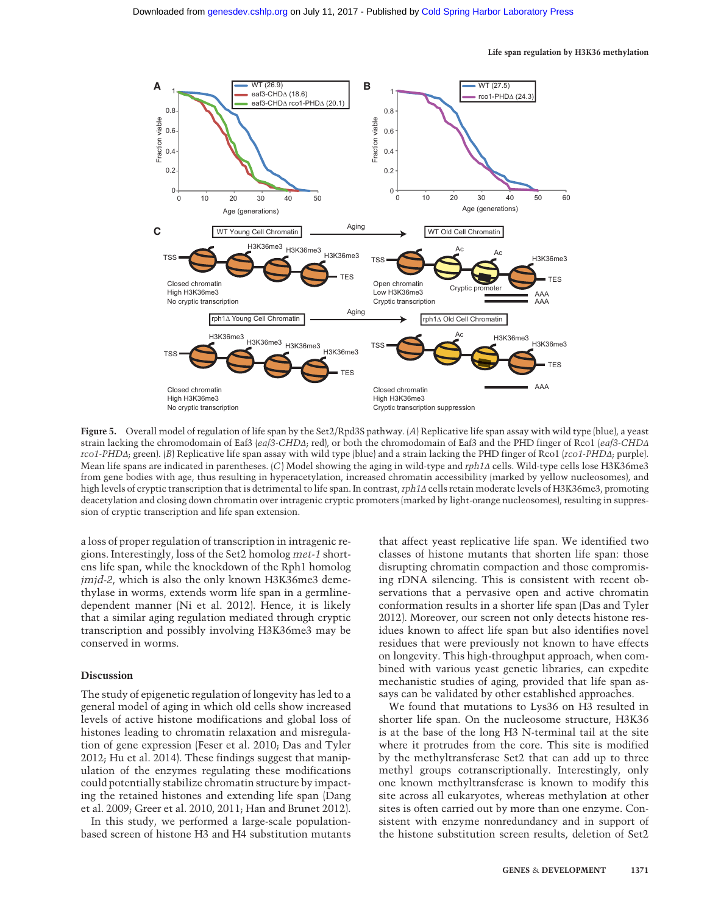

Figure 5. Overall model of regulation of life span by the Set2/Rpd3S pathway. (A) Replicative life span assay with wild type (blue), a yeast strain lacking the chromodomain of Eaf3 (eaf3-CHDΔ; red), or both the chromodomain of Eaf3 and the PHD finger of Rco1 (eaf3-CHDΔ rco1-PHDΔ; green). (B) Replicative life span assay with wild type (blue) and a strain lacking the PHD finger of Rco1 (rco1-PHDΔ; purple). Mean life spans are indicated in parentheses. (C) Model showing the aging in wild-type and rph1Δ cells. Wild-type cells lose H3K36me3 from gene bodies with age, thus resulting in hyperacetylation, increased chromatin accessibility (marked by yellow nucleosomes), and high levels of cryptic transcription that is detrimental to life span. In contrast,rph1Δ cells retain moderate levels of H3K36me3, promoting deacetylation and closing down chromatin over intragenic cryptic promoters (marked by light-orange nucleosomes), resulting in suppression of cryptic transcription and life span extension.

a loss of proper regulation of transcription in intragenic regions. Interestingly, loss of the Set2 homolog met-1 shortens life span, while the knockdown of the Rph1 homolog jmjd-2, which is also the only known H3K36me3 demethylase in worms, extends worm life span in a germlinedependent manner (Ni et al. 2012). Hence, it is likely that a similar aging regulation mediated through cryptic transcription and possibly involving H3K36me3 may be conserved in worms.

#### Discussion

The study of epigenetic regulation of longevity has led to a general model of aging in which old cells show increased levels of active histone modifications and global loss of histones leading to chromatin relaxation and misregulation of gene expression (Feser et al. 2010; Das and Tyler 2012; Hu et al. 2014). These findings suggest that manipulation of the enzymes regulating these modifications could potentially stabilize chromatin structure by impacting the retained histones and extending life span (Dang et al. 2009; Greer et al. 2010, 2011; Han and Brunet 2012).

In this study, we performed a large-scale populationbased screen of histone H3 and H4 substitution mutants

that affect yeast replicative life span. We identified two classes of histone mutants that shorten life span: those disrupting chromatin compaction and those compromising rDNA silencing. This is consistent with recent observations that a pervasive open and active chromatin conformation results in a shorter life span (Das and Tyler 2012). Moreover, our screen not only detects histone residues known to affect life span but also identifies novel residues that were previously not known to have effects on longevity. This high-throughput approach, when combined with various yeast genetic libraries, can expedite mechanistic studies of aging, provided that life span assays can be validated by other established approaches.

We found that mutations to Lys36 on H3 resulted in shorter life span. On the nucleosome structure, H3K36 is at the base of the long H3 N-terminal tail at the site where it protrudes from the core. This site is modified by the methyltransferase Set2 that can add up to three methyl groups cotranscriptionally. Interestingly, only one known methyltransferase is known to modify this site across all eukaryotes, whereas methylation at other sites is often carried out by more than one enzyme. Consistent with enzyme nonredundancy and in support of the histone substitution screen results, deletion of Set2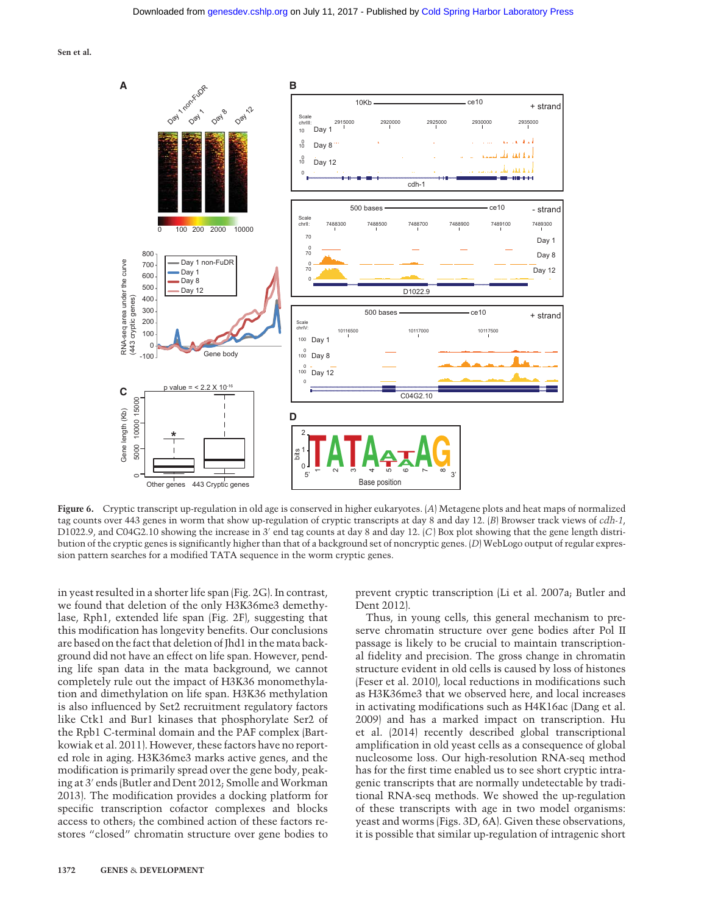

Figure 6. Cryptic transcript up-regulation in old age is conserved in higher eukaryotes. (A) Metagene plots and heat maps of normalized tag counts over 443 genes in worm that show up-regulation of cryptic transcripts at day 8 and day 12. (B) Browser track views of cdh-1, D1022.9, and C04G2.10 showing the increase in 3′ end tag counts at day 8 and day 12. (C) Box plot showing that the gene length distribution of the cryptic genes is significantly higher than that of a background set of noncryptic genes. (D) WebLogo output of regular expression pattern searches for a modified TATA sequence in the worm cryptic genes.

in yeast resulted in a shorter life span (Fig. 2G). In contrast, we found that deletion of the only H3K36me3 demethylase, Rph1, extended life span (Fig. 2F), suggesting that this modification has longevity benefits. Our conclusions are based on the fact that deletion of Jhd1 in the matα background did not have an effect on life span. However, pending life span data in the mata background, we cannot completely rule out the impact of H3K36 monomethylation and dimethylation on life span. H3K36 methylation is also influenced by Set2 recruitment regulatory factors like Ctk1 and Bur1 kinases that phosphorylate Ser2 of the Rpb1 C-terminal domain and the PAF complex (Bartkowiak et al. 2011). However, these factors have no reported role in aging. H3K36me3 marks active genes, and the modification is primarily spread over the gene body, peaking at 3′ ends (Butler and Dent 2012; Smolle and Workman 2013). The modification provides a docking platform for specific transcription cofactor complexes and blocks access to others; the combined action of these factors restores "closed" chromatin structure over gene bodies to

prevent cryptic transcription (Li et al. 2007a; Butler and Dent 2012).

Thus, in young cells, this general mechanism to preserve chromatin structure over gene bodies after Pol II passage is likely to be crucial to maintain transcriptional fidelity and precision. The gross change in chromatin structure evident in old cells is caused by loss of histones (Feser et al. 2010), local reductions in modifications such as H3K36me3 that we observed here, and local increases in activating modifications such as H4K16ac (Dang et al. 2009) and has a marked impact on transcription. Hu et al. (2014) recently described global transcriptional amplification in old yeast cells as a consequence of global nucleosome loss. Our high-resolution RNA-seq method has for the first time enabled us to see short cryptic intragenic transcripts that are normally undetectable by traditional RNA-seq methods. We showed the up-regulation of these transcripts with age in two model organisms: yeast and worms (Figs. 3D, 6A). Given these observations, it is possible that similar up-regulation of intragenic short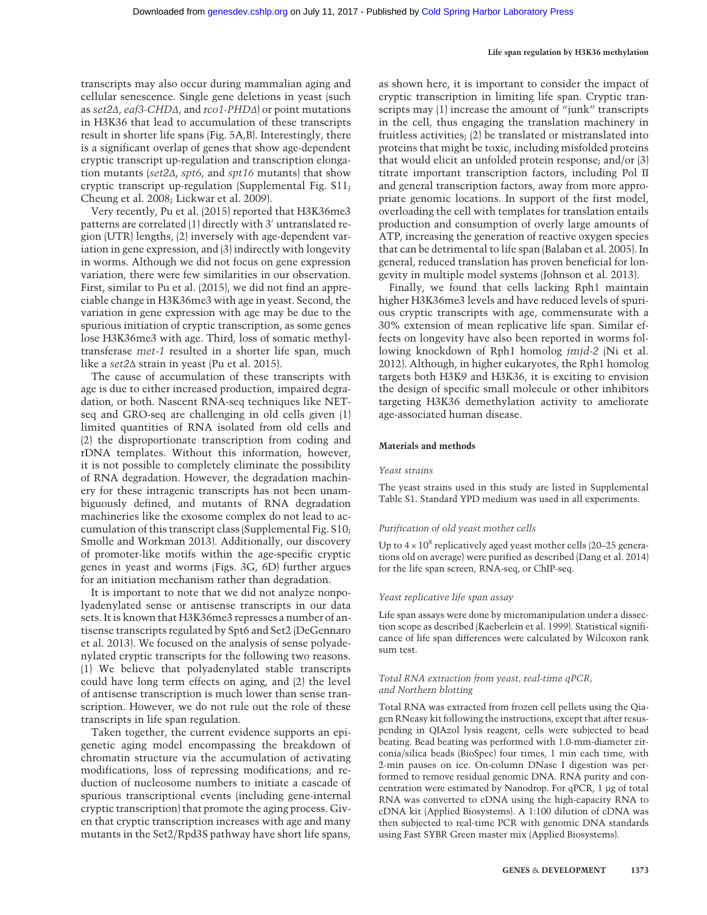transcripts may also occur during mammalian aging and cellular senescence. Single gene deletions in yeast (such as set2Δ, eaf3-CHDΔ, and rco1-PHDΔ) or point mutations in H3K36 that lead to accumulation of these transcripts result in shorter life spans (Fig. 5A,B). Interestingly, there is a significant overlap of genes that show age-dependent cryptic transcript up-regulation and transcription elongation mutants (set2Δ, spt6, and spt16 mutants) that show cryptic transcript up-regulation (Supplemental Fig. S11; Cheung et al. 2008; Lickwar et al. 2009).

Very recently, Pu et al. (2015) reported that H3K36me3 patterns are correlated (1) directly with 3′ untranslated region (UTR) lengths, (2) inversely with age-dependent variation in gene expression, and (3) indirectly with longevity in worms. Although we did not focus on gene expression variation, there were few similarities in our observation. First, similar to Pu et al. (2015), we did not find an appreciable change in H3K36me3 with age in yeast. Second, the variation in gene expression with age may be due to the spurious initiation of cryptic transcription, as some genes lose H3K36me3 with age. Third, loss of somatic methyltransferase met-1 resulted in a shorter life span, much like a set2Δ strain in yeast (Pu et al. 2015).

The cause of accumulation of these transcripts with age is due to either increased production, impaired degradation, or both. Nascent RNA-seq techniques like NETseq and GRO-seq are challenging in old cells given (1) limited quantities of RNA isolated from old cells and (2) the disproportionate transcription from coding and rDNA templates. Without this information, however, it is not possible to completely eliminate the possibility of RNA degradation. However, the degradation machinery for these intragenic transcripts has not been unambiguously defined, and mutants of RNA degradation machineries like the exosome complex do not lead to accumulation of this transcript class (Supplemental Fig. S10; Smolle and Workman 2013). Additionally, our discovery of promoter-like motifs within the age-specific cryptic genes in yeast and worms (Figs. 3G, 6D) further argues for an initiation mechanism rather than degradation.

It is important to note that we did not analyze nonpolyadenylated sense or antisense transcripts in our data sets. It is known that H3K36me3 represses a number of antisense transcripts regulated by Spt6 and Set2 (DeGennaro et al. 2013). We focused on the analysis of sense polyadenylated cryptic transcripts for the following two reasons. (1) We believe that polyadenylated stable transcripts could have long term effects on aging, and (2) the level of antisense transcription is much lower than sense transcription. However, we do not rule out the role of these transcripts in life span regulation.

Taken together, the current evidence supports an epigenetic aging model encompassing the breakdown of chromatin structure via the accumulation of activating modifications, loss of repressing modifications, and reduction of nucleosome numbers to initiate a cascade of spurious transcriptional events (including gene-internal cryptic transcription) that promote the aging process. Given that cryptic transcription increases with age and many mutants in the Set2/Rpd3S pathway have short life spans,

as shown here, it is important to consider the impact of cryptic transcription in limiting life span. Cryptic transcripts may (1) increase the amount of "junk" transcripts in the cell, thus engaging the translation machinery in fruitless activities; (2) be translated or mistranslated into proteins that might be toxic, including misfolded proteins that would elicit an unfolded protein response; and/or (3) titrate important transcription factors, including Pol II and general transcription factors, away from more appropriate genomic locations. In support of the first model, overloading the cell with templates for translation entails production and consumption of overly large amounts of ATP, increasing the generation of reactive oxygen species that can be detrimental to life span (Balaban et al. 2005). In general, reduced translation has proven beneficial for longevity in multiple model systems (Johnson et al. 2013).

Finally, we found that cells lacking Rph1 maintain higher H3K36me3 levels and have reduced levels of spurious cryptic transcripts with age, commensurate with a 30% extension of mean replicative life span. Similar effects on longevity have also been reported in worms following knockdown of Rph1 homolog jmjd-2 (Ni et al. 2012). Although, in higher eukaryotes, the Rph1 homolog targets both H3K9 and H3K36, it is exciting to envision the design of specific small molecule or other inhibitors targeting H3K36 demethylation activity to ameliorate age-associated human disease.

#### Materials and methods

#### Yeast strains

The yeast strains used in this study are listed in Supplemental Table S1. Standard YPD medium was used in all experiments.

#### Purification of old yeast mother cells

Up to  $4 \times 10^8$  replicatively aged yeast mother cells (20–25 generations old on average) were purified as described (Dang et al. 2014) for the life span screen, RNA-seq, or ChIP-seq.

#### Yeast replicative life span assay

Life span assays were done by micromanipulation under a dissection scope as described (Kaeberlein et al. 1999). Statistical significance of life span differences were calculated by Wilcoxon rank sum test.

#### Total RNA extraction from yeast, real-time qPCR, and Northern blotting

Total RNA was extracted from frozen cell pellets using the Qiagen RNeasy kit following the instructions, except that after resuspending in QIAzol lysis reagent, cells were subjected to bead beating. Bead beating was performed with 1.0-mm-diameter zirconia/silica beads (BioSpec) four times, 1 min each time, with 2-min pauses on ice. On-column DNase I digestion was performed to remove residual genomic DNA. RNA purity and concentration were estimated by Nanodrop. For qPCR, 1 µg of total RNA was converted to cDNA using the high-capacity RNA to cDNA kit (Applied Biosystems). A 1:100 dilution of cDNA was then subjected to real-time PCR with genomic DNA standards using Fast SYBR Green master mix (Applied Biosystems).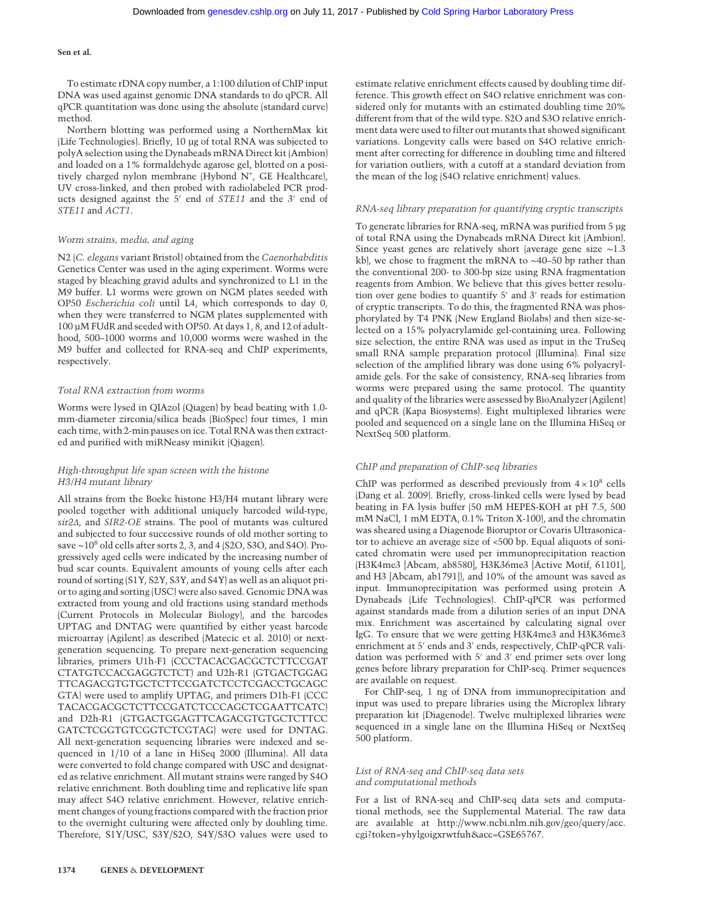To estimate rDNA copy number, a 1:100 dilution of ChIP input DNA was used against genomic DNA standards to do qPCR. All qPCR quantitation was done using the absolute (standard curve) method.

Northern blotting was performed using a NorthernMax kit (Life Technologies). Briefly, 10 µg of total RNA was subjected to polyA selection using the Dynabeads mRNA Direct kit (Ambion) and loaded on a 1% formaldehyde agarose gel, blotted on a positively charged nylon membrane (Hybond N<sup>+</sup>, GE Healthcare), UV cross-linked, and then probed with radiolabeled PCR products designed against the 5′ end of STE11 and the 3′ end of STE11 and ACT1.

#### Worm strains, media, and aging

N2 (C. elegans variant Bristol) obtained from the Caenorhabditis Genetics Center was used in the aging experiment. Worms were staged by bleaching gravid adults and synchronized to L1 in the M9 buffer. L1 worms were grown on NGM plates seeded with OP50 Escherichia coli until L4, which corresponds to day 0, when they were transferred to NGM plates supplemented with 100 µM FUdR and seeded with OP50. At days 1, 8, and 12 of adulthood, 500–1000 worms and 10,000 worms were washed in the M9 buffer and collected for RNA-seq and ChIP experiments, respectively.

#### Total RNA extraction from worms

Worms were lysed in QIAzol (Qiagen) by bead beating with 1.0 mm-diameter zirconia/silica beads (BioSpec) four times, 1 min each time, with 2-min pauses on ice. Total RNA was then extracted and purified with miRNeasy minikit (Qiagen).

#### High-throughput life span screen with the histone H3/H4 mutant library

All strains from the Boeke histone H3/H4 mutant library were pooled together with additional uniquely barcoded wild-type, sir2Δ, and SIR2-OE strains. The pool of mutants was cultured and subjected to four successive rounds of old mother sorting to save ~10<sup>8</sup> old cells after sorts 2, 3, and 4 (S2O, S3O, and S4O). Progressively aged cells were indicated by the increasing number of bud scar counts. Equivalent amounts of young cells after each round of sorting (S1Y, S2Y, S3Y, and S4Y) as well as an aliquot prior to aging and sorting (USC) were also saved. Genomic DNA was extracted from young and old fractions using standard methods (Current Protocols in Molecular Biology), and the barcodes UPTAG and DNTAG were quantified by either yeast barcode microarray (Agilent) as described (Matecic et al. 2010) or nextgeneration sequencing. To prepare next-generation sequencing libraries, primers U1h-F1 (CCCTACACGACGCTCTTCCGAT CTATGTCCACGAGGTCTCT) and U2h-R1 (GTGACTGGAG TTCAGACGTGTGCTCTTCCGATCTCCTCGACCTGCAGC GTA) were used to amplify UPTAG, and primers D1h-F1 (CCC TACACGACGCTCTTCCGATCTCCCAGCTCGAATTCATC) and D2h-R1 (GTGACTGGAGTTCAGACGTGTGCTCTTCC GATCTCGGTGTCGGTCTCGTAG) were used for DNTAG. All next-generation sequencing libraries were indexed and sequenced in 1/10 of a lane in HiSeq 2000 (Illumina). All data were converted to fold change compared with USC and designated as relative enrichment. All mutant strains were ranged by S4O relative enrichment. Both doubling time and replicative life span may affect S4O relative enrichment. However, relative enrichment changes of young fractions compared with the fraction prior to the overnight culturing were affected only by doubling time. Therefore, S1Y/USC, S3Y/S2O, S4Y/S3O values were used to estimate relative enrichment effects caused by doubling time difference. This growth effect on S4O relative enrichment was considered only for mutants with an estimated doubling time 20% different from that of the wild type. S2O and S3O relative enrichment data were used to filter out mutants that showed significant variations. Longevity calls were based on S4O relative enrichment after correcting for difference in doubling time and filtered for variation outliers, with a cutoff at a standard deviation from the mean of the log (S4O relative enrichment) values.

#### RNA-seq library preparation for quantifying cryptic transcripts

To generate libraries for RNA-seq, mRNA was purified from 5 µg of total RNA using the Dynabeads mRNA Direct kit (Ambion). Since yeast genes are relatively short (average gene size ∼1.3 kb), we chose to fragment the mRNA to ∼40–50 bp rather than the conventional 200- to 300-bp size using RNA fragmentation reagents from Ambion. We believe that this gives better resolution over gene bodies to quantify 5′ and 3′ reads for estimation of cryptic transcripts. To do this, the fragmented RNA was phosphorylated by T4 PNK (New England Biolabs) and then size-selected on a 15% polyacrylamide gel-containing urea. Following size selection, the entire RNA was used as input in the TruSeq small RNA sample preparation protocol (Illumina). Final size selection of the amplified library was done using 6% polyacrylamide gels. For the sake of consistency, RNA-seq libraries from worms were prepared using the same protocol. The quantity and quality of the libraries were assessed by BioAnalyzer (Agilent) and qPCR (Kapa Biosystems). Eight multiplexed libraries were pooled and sequenced on a single lane on the Illumina HiSeq or NextSeq 500 platform.

#### ChIP and preparation of ChIP-seq libraries

ChIP was performed as described previously from  $4 \times 10^8$  cells (Dang et al. 2009). Briefly, cross-linked cells were lysed by bead beating in FA lysis buffer (50 mM HEPES-KOH at pH 7.5, 500 mM NaCl, 1 mM EDTA, 0.1% Triton X-100), and the chromatin was sheared using a Diagenode Bioruptor or Covaris Ultrasonicator to achieve an average size of <500 bp. Equal aliquots of sonicated chromatin were used per immunoprecipitation reaction (H3K4me3 [Abcam, ab8580], H3K36me3 [Active Motif, 61101], and H3 [Abcam, ab1791]), and 10% of the amount was saved as input. Immunoprecipitation was performed using protein A Dynabeads (Life Technologies). ChIP-qPCR was performed against standards made from a dilution series of an input DNA mix. Enrichment was ascertained by calculating signal over IgG. To ensure that we were getting H3K4me3 and H3K36me3 enrichment at 5′ ends and 3′ ends, respectively, ChIP-qPCR validation was performed with 5′ and 3′ end primer sets over long genes before library preparation for ChIP-seq. Primer sequences are available on request.

For ChIP-seq, 1 ng of DNA from immunoprecipitation and input was used to prepare libraries using the Microplex library preparation kit (Diagenode). Twelve multiplexed libraries were sequenced in a single lane on the Illumina HiSeq or NextSeq 500 platform.

#### List of RNA-seq and ChIP-seq data sets and computational methods

For a list of RNA-seq and ChIP-seq data sets and computational methods, see the Supplemental Material. The raw data are available at [http://www.ncbi.nlm.nih.gov/geo/query/acc.](http://www.ncbi.nlm.nih.gov/geo/query/acc.cgi?token=yhylgoigxrwtfuh&acc=GSE65767) [cgi?token=yhylgoigxrwtfuh&acc=GSE65767](http://www.ncbi.nlm.nih.gov/geo/query/acc.cgi?token=yhylgoigxrwtfuh&acc=GSE65767).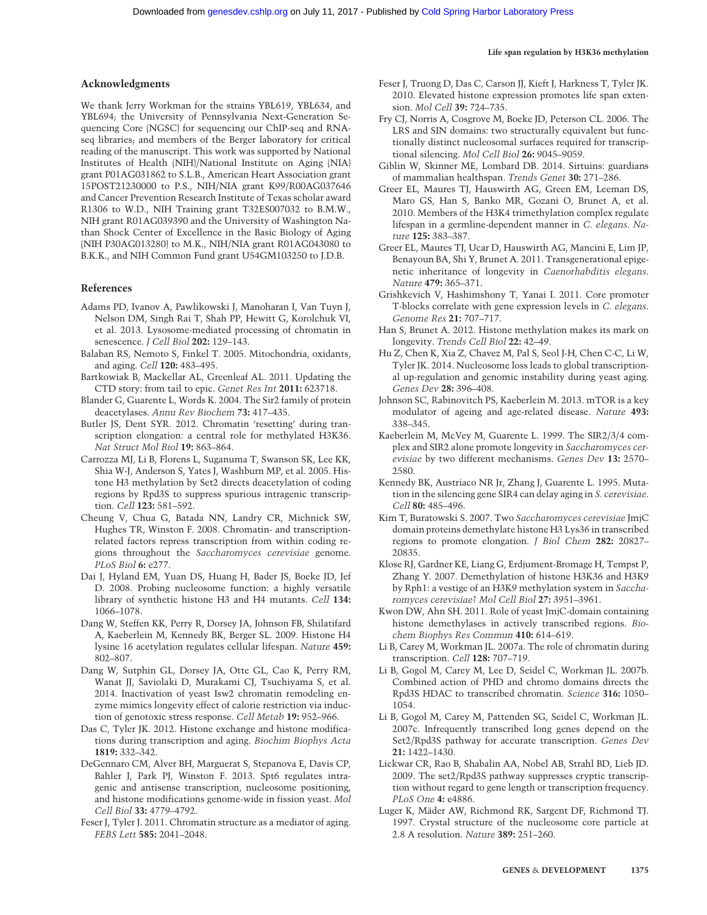#### Acknowledgments

We thank Jerry Workman for the strains YBL619, YBL634, and YBL694; the University of Pennsylvania Next-Generation Sequencing Core (NGSC) for sequencing our ChIP-seq and RNAseq libraries; and members of the Berger laboratory for critical reading of the manuscript. This work was supported by National Institutes of Health (NIH)/National Institute on Aging (NIA) grant P01AG031862 to S.L.B., American Heart Association grant 15POST21230000 to P.S., NIH/NIA grant K99/R00AG037646 and Cancer Prevention Research Institute of Texas scholar award R1306 to W.D., NIH Training grant T32ES007032 to B.M.W., NIH grant R01AG039390 and the University of Washington Nathan Shock Center of Excellence in the Basic Biology of Aging (NIH P30AG013280) to M.K., NIH/NIA grant R01AG043080 to B.K.K., and NIH Common Fund grant U54GM103250 to J.D.B.

#### References

- Adams PD, Ivanov A, Pawlikowski J, Manoharan I, Van Tuyn J, Nelson DM, Singh Rai T, Shah PP, Hewitt G, Korolchuk VI, et al. 2013. Lysosome-mediated processing of chromatin in senescence. *J Cell Biol* 202: 129-143.
- Balaban RS, Nemoto S, Finkel T. 2005. Mitochondria, oxidants, and aging. Cell 120: 483–495.
- Bartkowiak B, Mackellar AL, Greenleaf AL. 2011. Updating the CTD story: from tail to epic. Genet Res Int 2011: 623718.
- Blander G, Guarente L, Words K. 2004. The Sir2 family of protein deacetylases. Annu Rev Biochem 73: 417–435.
- Butler JS, Dent SYR. 2012. Chromatin 'resetting' during transcription elongation: a central role for methylated H3K36. Nat Struct Mol Biol 19: 863–864.
- Carrozza MJ, Li B, Florens L, Suganuma T, Swanson SK, Lee KK, Shia W-J, Anderson S, Yates J, Washburn MP, et al. 2005. Histone H3 methylation by Set2 directs deacetylation of coding regions by Rpd3S to suppress spurious intragenic transcription. Cell 123: 581–592.
- Cheung V, Chua G, Batada NN, Landry CR, Michnick SW, Hughes TR, Winston F. 2008. Chromatin- and transcriptionrelated factors repress transcription from within coding regions throughout the Saccharomyces cerevisiae genome. PLoS Biol 6: e277.
- Dai J, Hyland EM, Yuan DS, Huang H, Bader JS, Boeke JD, Jef D. 2008. Probing nucleosome function: a highly versatile library of synthetic histone H3 and H4 mutants. Cell 134: 1066–1078.
- Dang W, Steffen KK, Perry R, Dorsey JA, Johnson FB, Shilatifard A, Kaeberlein M, Kennedy BK, Berger SL. 2009. Histone H4 lysine 16 acetylation regulates cellular lifespan. Nature 459: 802–807.
- Dang W, Sutphin GL, Dorsey JA, Otte GL, Cao K, Perry RM, Wanat JJ, Saviolaki D, Murakami CJ, Tsuchiyama S, et al. 2014. Inactivation of yeast Isw2 chromatin remodeling enzyme mimics longevity effect of calorie restriction via induction of genotoxic stress response. Cell Metab 19: 952–966.
- Das C, Tyler JK. 2012. Histone exchange and histone modifications during transcription and aging. Biochim Biophys Acta 1819: 332–342.
- DeGennaro CM, Alver BH, Marguerat S, Stepanova E, Davis CP, Bahler J, Park PJ, Winston F. 2013. Spt6 regulates intragenic and antisense transcription, nucleosome positioning, and histone modifications genome-wide in fission yeast. Mol Cell Biol 33: 4779–4792.
- Feser J, Tyler J. 2011. Chromatin structure as a mediator of aging. FEBS Lett 585: 2041–2048.
- Feser J, Truong D, Das C, Carson JJ, Kieft J, Harkness T, Tyler JK. 2010. Elevated histone expression promotes life span extension. Mol Cell 39: 724–735.
- Fry CJ, Norris A, Cosgrove M, Boeke JD, Peterson CL. 2006. The LRS and SIN domains: two structurally equivalent but functionally distinct nucleosomal surfaces required for transcriptional silencing. Mol Cell Biol 26: 9045–9059.
- Giblin W, Skinner ME, Lombard DB. 2014. Sirtuins: guardians of mammalian healthspan. Trends Genet 30: 271–286.
- Greer EL, Maures TJ, Hauswirth AG, Green EM, Leeman DS, Maro GS, Han S, Banko MR, Gozani O, Brunet A, et al. 2010. Members of the H3K4 trimethylation complex regulate lifespan in a germline-dependent manner in C. elegans. Nature 125: 383–387.
- Greer EL, Maures TJ, Ucar D, Hauswirth AG, Mancini E, Lim JP, Benayoun BA, Shi Y, Brunet A. 2011. Transgenerational epigenetic inheritance of longevity in Caenorhabditis elegans. Nature 479: 365–371.
- Grishkevich V, Hashimshony T, Yanai I. 2011. Core promoter T-blocks correlate with gene expression levels in C. elegans. Genome Res 21: 707–717.
- Han S, Brunet A. 2012. Histone methylation makes its mark on longevity. Trends Cell Biol 22: 42–49.
- Hu Z, Chen K, Xia Z, Chavez M, Pal S, Seol J-H, Chen C-C, Li W, Tyler JK. 2014. Nucleosome loss leads to global transcriptional up-regulation and genomic instability during yeast aging. Genes Dev 28: 396–408.
- Johnson SC, Rabinovitch PS, Kaeberlein M. 2013. mTOR is a key modulator of ageing and age-related disease. Nature 493: 338–345.
- Kaeberlein M, McVey M, Guarente L. 1999. The SIR2/3/4 complex and SIR2 alone promote longevity in Saccharomyces cerevisiae by two different mechanisms. Genes Dev 13: 2570– 2580.
- Kennedy BK, Austriaco NR Jr, Zhang J, Guarente L. 1995. Mutation in the silencing gene SIR4 can delay aging in S. cerevisiae. Cell 80: 485-496.
- Kim T, Buratowski S. 2007. Two Saccharomyces cerevisiae JmjC domain proteins demethylate histone H3 Lys36 in transcribed regions to promote elongation. J Biol Chem 282: 20827– 20835.
- Klose RJ, Gardner KE, Liang G, Erdjument-Bromage H, Tempst P, Zhang Y. 2007. Demethylation of histone H3K36 and H3K9 by Rph1: a vestige of an H3K9 methylation system in Saccharomyces cerevisiae? Mol Cell Biol 27: 3951–3961.
- Kwon DW, Ahn SH. 2011. Role of yeast JmjC-domain containing histone demethylases in actively transcribed regions. Biochem Biophys Res Commun 410: 614–619.
- Li B, Carey M, Workman JL. 2007a. The role of chromatin during transcription. Cell 128: 707–719.
- Li B, Gogol M, Carey M, Lee D, Seidel C, Workman JL. 2007b. Combined action of PHD and chromo domains directs the Rpd3S HDAC to transcribed chromatin. Science 316: 1050– 1054.
- Li B, Gogol M, Carey M, Pattenden SG, Seidel C, Workman JL. 2007c. Infrequently transcribed long genes depend on the Set2/Rpd3S pathway for accurate transcription. Genes Dev 21: 1422–1430.
- Lickwar CR, Rao B, Shabalin AA, Nobel AB, Strahl BD, Lieb JD. 2009. The set2/Rpd3S pathway suppresses cryptic transcription without regard to gene length or transcription frequency. PLoS One 4: e4886.
- Luger K, Mäder AW, Richmond RK, Sargent DF, Richmond TJ. 1997. Crystal structure of the nucleosome core particle at 2.8 A resolution. Nature 389: 251–260.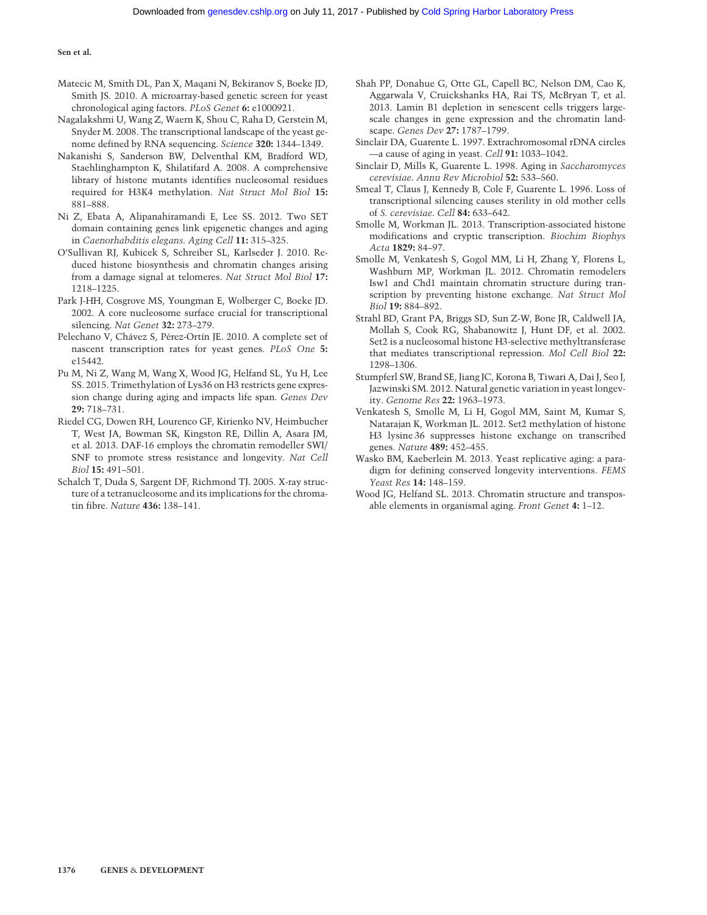- Matecic M, Smith DL, Pan X, Maqani N, Bekiranov S, Boeke JD, Smith JS. 2010. A microarray-based genetic screen for yeast chronological aging factors. PLoS Genet 6: e1000921.
- Nagalakshmi U, Wang Z, Waern K, Shou C, Raha D, Gerstein M, Snyder M. 2008. The transcriptional landscape of the yeast genome defined by RNA sequencing. Science 320: 1344–1349.
- Nakanishi S, Sanderson BW, Delventhal KM, Bradford WD, Staehlinghampton K, Shilatifard A. 2008. A comprehensive library of histone mutants identifies nucleosomal residues required for H3K4 methylation. Nat Struct Mol Biol 15: 881–888.
- Ni Z, Ebata A, Alipanahiramandi E, Lee SS. 2012. Two SET domain containing genes link epigenetic changes and aging in Caenorhabditis elegans. Aging Cell 11: 315–325.
- O'Sullivan RJ, Kubicek S, Schreiber SL, Karlseder J. 2010. Reduced histone biosynthesis and chromatin changes arising from a damage signal at telomeres. Nat Struct Mol Biol 17: 1218–1225.
- Park J-HH, Cosgrove MS, Youngman E, Wolberger C, Boeke JD. 2002. A core nucleosome surface crucial for transcriptional silencing. Nat Genet 32: 273–279.
- Pelechano V, Chávez S, Pérez-Ortín JE. 2010. A complete set of nascent transcription rates for yeast genes. PLoS One 5: e15442.
- Pu M, Ni Z, Wang M, Wang X, Wood JG, Helfand SL, Yu H, Lee SS. 2015. Trimethylation of Lys36 on H3 restricts gene expression change during aging and impacts life span. Genes Dev 29: 718–731.
- Riedel CG, Dowen RH, Lourenco GF, Kirienko NV, Heimbucher T, West JA, Bowman SK, Kingston RE, Dillin A, Asara JM, et al. 2013. DAF-16 employs the chromatin remodeller SWI/ SNF to promote stress resistance and longevity. Nat Cell Biol 15: 491–501.
- Schalch T, Duda S, Sargent DF, Richmond TJ. 2005. X-ray structure of a tetranucleosome and its implications for the chromatin fibre. Nature 436: 138–141.
- Shah PP, Donahue G, Otte GL, Capell BC, Nelson DM, Cao K, Aggarwala V, Cruickshanks HA, Rai TS, McBryan T, et al. 2013. Lamin B1 depletion in senescent cells triggers largescale changes in gene expression and the chromatin landscape. Genes Dev 27: 1787–1799.
- Sinclair DA, Guarente L. 1997. Extrachromosomal rDNA circles —a cause of aging in yeast. Cell 91: 1033–1042.
- Sinclair D, Mills K, Guarente L. 1998. Aging in Saccharomyces cerevisiae. Annu Rev Microbiol 52: 533–560.
- Smeal T, Claus J, Kennedy B, Cole F, Guarente L. 1996. Loss of transcriptional silencing causes sterility in old mother cells of S. cerevisiae. Cell 84: 633–642.
- Smolle M, Workman JL. 2013. Transcription-associated histone modifications and cryptic transcription. Biochim Biophys Acta 1829: 84–97.
- Smolle M, Venkatesh S, Gogol MM, Li H, Zhang Y, Florens L, Washburn MP, Workman JL. 2012. Chromatin remodelers Isw1 and Chd1 maintain chromatin structure during transcription by preventing histone exchange. Nat Struct Mol Biol 19: 884–892.
- Strahl BD, Grant PA, Briggs SD, Sun Z-W, Bone JR, Caldwell JA, Mollah S, Cook RG, Shabanowitz J, Hunt DF, et al. 2002. Set2 is a nucleosomal histone H3-selective methyltransferase that mediates transcriptional repression. Mol Cell Biol 22: 1298–1306.
- Stumpferl SW, Brand SE, Jiang JC, Korona B, Tiwari A, Dai J, Seo J, Jazwinski SM. 2012. Natural genetic variation in yeast longevity. Genome Res 22: 1963–1973.
- Venkatesh S, Smolle M, Li H, Gogol MM, Saint M, Kumar S, Natarajan K, Workman JL. 2012. Set2 methylation of histone H3 lysine 36 suppresses histone exchange on transcribed genes. Nature 489: 452–455.
- Wasko BM, Kaeberlein M. 2013. Yeast replicative aging: a paradigm for defining conserved longevity interventions. FEMS Yeast Res 14: 148–159.
- Wood JG, Helfand SL. 2013. Chromatin structure and transposable elements in organismal aging. Front Genet 4: 1–12.